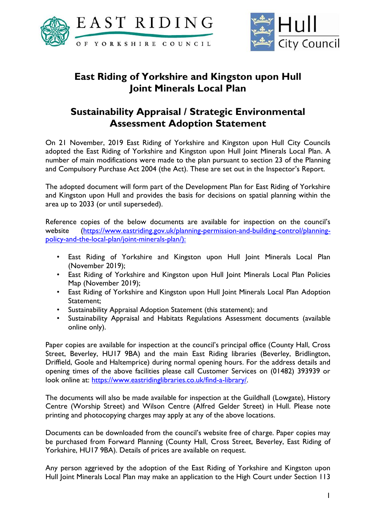



## **East Riding of Yorkshire and Kingston upon Hull Joint Minerals Local Plan**

## **Sustainability Appraisal / Strategic Environmental Assessment Adoption Statement**

On 21 November, 2019 East Riding of Yorkshire and Kingston upon Hull City Councils adopted the East Riding of Yorkshire and Kingston upon Hull Joint Minerals Local Plan. A number of main modifications were made to the plan pursuant to section 23 of the Planning and Compulsory Purchase Act 2004 (the Act). These are set out in the Inspector's Report.

The adopted document will form part of the Development Plan for East Riding of Yorkshire and Kingston upon Hull and provides the basis for decisions on spatial planning within the area up to 2033 (or until superseded).

Reference copies of the below documents are available for inspection on the council's website [\(https://www.eastriding.gov.uk/planning-permission-and-building-control/planning](https://www.eastriding.gov.uk/planning-permission-and-building-control/planning-policy-and-the-local-plan/joint-minerals-plan/)[policy-and-the-local-plan/joint-minerals-plan/\)](https://www.eastriding.gov.uk/planning-permission-and-building-control/planning-policy-and-the-local-plan/joint-minerals-plan/):

- East Riding of Yorkshire and Kingston upon Hull Joint Minerals Local Plan (November 2019);
- East Riding of Yorkshire and Kingston upon Hull Joint Minerals Local Plan Policies Map (November 2019);
- East Riding of Yorkshire and Kingston upon Hull Joint Minerals Local Plan Adoption Statement;
- Sustainability Appraisal Adoption Statement (this statement); and
- Sustainability Appraisal and Habitats Regulations Assessment documents (available online only).

Paper copies are available for inspection at the council's principal office (County Hall, Cross Street, Beverley, HU17 9BA) and the main East Riding libraries (Beverley, Bridlington, Driffield, Goole and Haltemprice) during normal opening hours. For the address details and opening times of the above facilities please call Customer Services on (01482) 393939 or look online at: [https://www.eastridinglibraries.co.uk/find-a-library/.](https://www.eastridinglibraries.co.uk/find-a-library/)

The documents will also be made available for inspection at the Guildhall (Lowgate), History Centre (Worship Street) and Wilson Centre (Alfred Gelder Street) in Hull. Please note printing and photocopying charges may apply at any of the above locations.

Documents can be downloaded from the council's website free of charge. Paper copies may be purchased from Forward Planning (County Hall, Cross Street, Beverley, East Riding of Yorkshire, HU17 9BA). Details of prices are available on request.

Any person aggrieved by the adoption of the East Riding of Yorkshire and Kingston upon Hull Joint Minerals Local Plan may make an application to the High Court under Section 113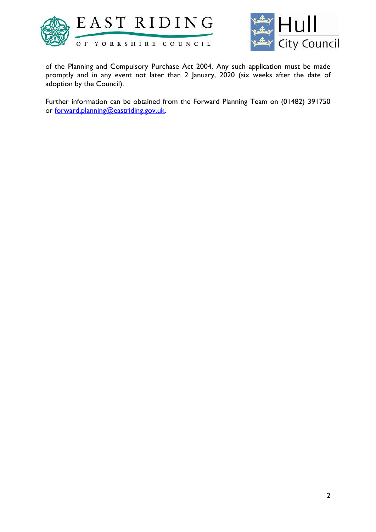



of the Planning and Compulsory Purchase Act 2004. Any such application must be made promptly and in any event not later than 2 January, 2020 (six weeks after the date of adoption by the Council).

Further information can be obtained from the Forward Planning Team on (01482) 391750 or [forward.planning@eastriding.gov.uk.](mailto:forward.planing@eastriding.gov.uk)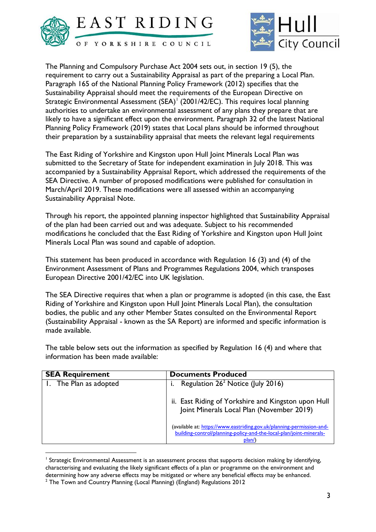



The Planning and Compulsory Purchase Act 2004 sets out, in section 19 (5), the requirement to carry out a Sustainability Appraisal as part of the preparing a Local Plan. Paragraph 165 of the National Planning Policy Framework (2012) specifies that the Sustainability Appraisal should meet the requirements of the European Directive on Strategic Environmental Assessment (SEA)<sup>1</sup> (2001/42/EC). This requires local planning authorities to undertake an environmental assessment of any plans they prepare that are likely to have a significant effect upon the environment. Paragraph 32 of the latest National Planning Policy Framework (2019) states that Local plans should be informed throughout their preparation by a sustainability appraisal that meets the relevant legal requirements

The East Riding of Yorkshire and Kingston upon Hull Joint Minerals Local Plan was submitted to the Secretary of State for independent examination in July 2018. This was accompanied by a Sustainability Appraisal Report, which addressed the requirements of the SEA Directive. A number of proposed modifications were published for consultation in March/April 2019. These modifications were all assessed within an accompanying Sustainability Appraisal Note.

Through his report, the appointed planning inspector highlighted that Sustainability Appraisal of the plan had been carried out and was adequate. Subject to his recommended modifications he concluded that the East Riding of Yorkshire and Kingston upon Hull Joint Minerals Local Plan was sound and capable of adoption.

This statement has been produced in accordance with Regulation 16 (3) and (4) of the Environment Assessment of Plans and Programmes Regulations 2004, which transposes European Directive 2001/42/EC into UK legislation.

The SEA Directive requires that when a plan or programme is adopted (in this case, the East Riding of Yorkshire and Kingston upon Hull Joint Minerals Local Plan), the consultation bodies, the public and any other Member States consulted on the Environmental Report (Sustainability Appraisal - known as the SA Report) are informed and specific information is made available.

The table below sets out the information as specified by Regulation 16 (4) and where that information has been made available:

| <b>SEA Requirement</b> | <b>Documents Produced</b>                                                                                                                             |
|------------------------|-------------------------------------------------------------------------------------------------------------------------------------------------------|
| 1. The Plan as adopted | Regulation 26 <sup>2</sup> Notice (July 2016)                                                                                                         |
|                        | ii. East Riding of Yorkshire and Kingston upon Hull<br>Joint Minerals Local Plan (November 2019)                                                      |
|                        | (available at: https://www.eastriding.gov.uk/planning-permission-and-<br>building-control/planning-policy-and-the-local-plan/joint-minerals-<br>plan/ |

<sup>1</sup> Strategic Environmental Assessment is an assessment process that supports decision making by identifying, characterising and evaluating the likely significant effects of a plan or programme on the environment and determining how any adverse effects may be mitigated or where any beneficial effects may be enhanced.

1

<sup>&</sup>lt;sup>2</sup> The Town and Country Planning (Local Planning) (England) Regulations 2012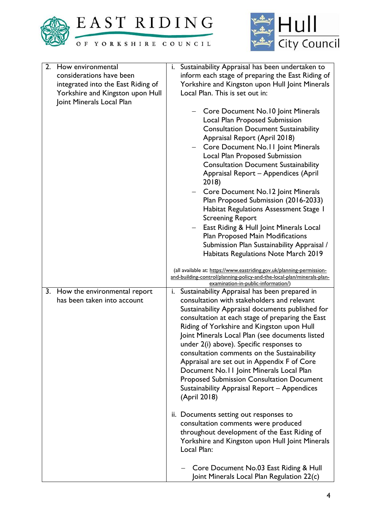



| 2. | How environmental                                           | i. Sustainability Appraisal has been undertaken to                                                                                                                                                                                                                                                                                                                                                                                                                              |
|----|-------------------------------------------------------------|---------------------------------------------------------------------------------------------------------------------------------------------------------------------------------------------------------------------------------------------------------------------------------------------------------------------------------------------------------------------------------------------------------------------------------------------------------------------------------|
|    | considerations have been                                    | inform each stage of preparing the East Riding of                                                                                                                                                                                                                                                                                                                                                                                                                               |
|    | integrated into the East Riding of                          | Yorkshire and Kingston upon Hull Joint Minerals                                                                                                                                                                                                                                                                                                                                                                                                                                 |
|    | Yorkshire and Kingston upon Hull                            | Local Plan. This is set out in:                                                                                                                                                                                                                                                                                                                                                                                                                                                 |
|    | Joint Minerals Local Plan                                   |                                                                                                                                                                                                                                                                                                                                                                                                                                                                                 |
|    |                                                             | Core Document No.10 Joint Minerals<br>Local Plan Proposed Submission<br><b>Consultation Document Sustainability</b><br>Appraisal Report (April 2018)<br>Core Document No.11 Joint Minerals<br>Local Plan Proposed Submission<br><b>Consultation Document Sustainability</b><br>Appraisal Report - Appendices (April<br>2018)<br>Core Document No.12 Joint Minerals<br>Plan Proposed Submission (2016-2033)<br>Habitat Regulations Assessment Stage 1<br><b>Screening Report</b> |
|    |                                                             | East Riding & Hull Joint Minerals Local                                                                                                                                                                                                                                                                                                                                                                                                                                         |
|    |                                                             | Plan Proposed Main Modifications                                                                                                                                                                                                                                                                                                                                                                                                                                                |
|    |                                                             | Submission Plan Sustainability Appraisal /                                                                                                                                                                                                                                                                                                                                                                                                                                      |
|    |                                                             | Habitats Regulations Note March 2019                                                                                                                                                                                                                                                                                                                                                                                                                                            |
|    |                                                             |                                                                                                                                                                                                                                                                                                                                                                                                                                                                                 |
|    |                                                             | (all available at: https://www.eastriding.gov.uk/planning-permission-                                                                                                                                                                                                                                                                                                                                                                                                           |
|    |                                                             | and-building-control/planning-policy-and-the-local-plan/minerals-plan-                                                                                                                                                                                                                                                                                                                                                                                                          |
|    |                                                             | examination-in-public-information/)                                                                                                                                                                                                                                                                                                                                                                                                                                             |
| 3. | How the environmental report<br>has been taken into account | Sustainability Appraisal has been prepared in<br>i.<br>consultation with stakeholders and relevant                                                                                                                                                                                                                                                                                                                                                                              |
|    |                                                             |                                                                                                                                                                                                                                                                                                                                                                                                                                                                                 |
|    |                                                             | Sustainability Appraisal documents published for                                                                                                                                                                                                                                                                                                                                                                                                                                |
|    |                                                             | consultation at each stage of preparing the East                                                                                                                                                                                                                                                                                                                                                                                                                                |
|    |                                                             | Riding of Yorkshire and Kingston upon Hull                                                                                                                                                                                                                                                                                                                                                                                                                                      |
|    |                                                             | Joint Minerals Local Plan (see documents listed                                                                                                                                                                                                                                                                                                                                                                                                                                 |
|    |                                                             | under 2(i) above). Specific responses to                                                                                                                                                                                                                                                                                                                                                                                                                                        |
|    |                                                             | consultation comments on the Sustainability                                                                                                                                                                                                                                                                                                                                                                                                                                     |
|    |                                                             | Appraisal are set out in Appendix F of Core                                                                                                                                                                                                                                                                                                                                                                                                                                     |
|    |                                                             | Document No.11 Joint Minerals Local Plan                                                                                                                                                                                                                                                                                                                                                                                                                                        |
|    |                                                             | <b>Proposed Submission Consultation Document</b>                                                                                                                                                                                                                                                                                                                                                                                                                                |
|    |                                                             | Sustainability Appraisal Report - Appendices                                                                                                                                                                                                                                                                                                                                                                                                                                    |
|    |                                                             | (April 2018)                                                                                                                                                                                                                                                                                                                                                                                                                                                                    |
|    |                                                             |                                                                                                                                                                                                                                                                                                                                                                                                                                                                                 |
|    |                                                             | ii. Documents setting out responses to                                                                                                                                                                                                                                                                                                                                                                                                                                          |
|    |                                                             | consultation comments were produced                                                                                                                                                                                                                                                                                                                                                                                                                                             |
|    |                                                             | throughout development of the East Riding of                                                                                                                                                                                                                                                                                                                                                                                                                                    |
|    |                                                             | Yorkshire and Kingston upon Hull Joint Minerals                                                                                                                                                                                                                                                                                                                                                                                                                                 |
|    |                                                             | Local Plan:                                                                                                                                                                                                                                                                                                                                                                                                                                                                     |
|    |                                                             |                                                                                                                                                                                                                                                                                                                                                                                                                                                                                 |
|    |                                                             | Core Document No.03 East Riding & Hull<br>Joint Minerals Local Plan Regulation 22(c)                                                                                                                                                                                                                                                                                                                                                                                            |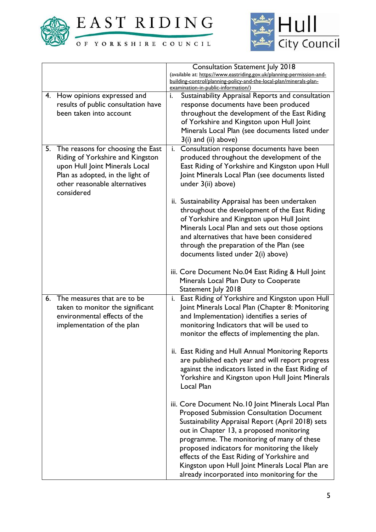

EAST RIDING

OF YORKSHIRE COUNCIL



|    |                                             |    | <b>Consultation Statement July 2018</b>                                                                   |
|----|---------------------------------------------|----|-----------------------------------------------------------------------------------------------------------|
|    |                                             |    | (available at: https://www.eastriding.gov.uk/planning-permission-and-                                     |
|    |                                             |    | building-control/planning-policy-and-the-local-plan/minerals-plan-<br>examination-in-public-information/) |
|    | 4. How opinions expressed and               | i. | Sustainability Appraisal Reports and consultation                                                         |
|    | results of public consultation have         |    | response documents have been produced                                                                     |
|    | been taken into account                     |    |                                                                                                           |
|    |                                             |    | throughout the development of the East Riding                                                             |
|    |                                             |    | of Yorkshire and Kingston upon Hull Joint                                                                 |
|    |                                             |    | Minerals Local Plan (see documents listed under                                                           |
|    |                                             |    | $3(i)$ and (ii) above)                                                                                    |
| 5. | The reasons for choosing the East           | i. | Consultation response documents have been                                                                 |
|    | Riding of Yorkshire and Kingston            |    | produced throughout the development of the                                                                |
|    | upon Hull Joint Minerals Local              |    | East Riding of Yorkshire and Kingston upon Hull                                                           |
|    | Plan as adopted, in the light of            |    | Joint Minerals Local Plan (see documents listed                                                           |
|    | other reasonable alternatives<br>considered |    | under 3(ii) above)                                                                                        |
|    |                                             |    | ii. Sustainability Appraisal has been undertaken                                                          |
|    |                                             |    | throughout the development of the East Riding                                                             |
|    |                                             |    | of Yorkshire and Kingston upon Hull Joint                                                                 |
|    |                                             |    | Minerals Local Plan and sets out those options                                                            |
|    |                                             |    | and alternatives that have been considered                                                                |
|    |                                             |    | through the preparation of the Plan (see                                                                  |
|    |                                             |    | documents listed under 2(i) above)                                                                        |
|    |                                             |    |                                                                                                           |
|    |                                             |    | iii. Core Document No.04 East Riding & Hull Joint                                                         |
|    |                                             |    | Minerals Local Plan Duty to Cooperate                                                                     |
|    |                                             |    | Statement July 2018                                                                                       |
| 6. | The measures that are to be                 |    | i. East Riding of Yorkshire and Kingston upon Hull                                                        |
|    | taken to monitor the significant            |    | Joint Minerals Local Plan (Chapter 8: Monitoring                                                          |
|    | environmental effects of the                |    | and Implementation) identifies a series of                                                                |
|    | implementation of the plan                  |    | monitoring Indicators that will be used to                                                                |
|    |                                             |    | monitor the effects of implementing the plan.                                                             |
|    |                                             |    |                                                                                                           |
|    |                                             |    | ii. East Riding and Hull Annual Monitoring Reports                                                        |
|    |                                             |    | are published each year and will report progress                                                          |
|    |                                             |    | against the indicators listed in the East Riding of                                                       |
|    |                                             |    | Yorkshire and Kingston upon Hull Joint Minerals                                                           |
|    |                                             |    | Local Plan                                                                                                |
|    |                                             |    | iii. Core Document No.10 Joint Minerals Local Plan                                                        |
|    |                                             |    | <b>Proposed Submission Consultation Document</b>                                                          |
|    |                                             |    | Sustainability Appraisal Report (April 2018) sets                                                         |
|    |                                             |    | out in Chapter 13, a proposed monitoring                                                                  |
|    |                                             |    | programme. The monitoring of many of these                                                                |
|    |                                             |    | proposed indicators for monitoring the likely                                                             |
|    |                                             |    | effects of the East Riding of Yorkshire and                                                               |
|    |                                             |    | Kingston upon Hull Joint Minerals Local Plan are                                                          |
|    |                                             |    |                                                                                                           |
|    |                                             |    | already incorporated into monitoring for the                                                              |